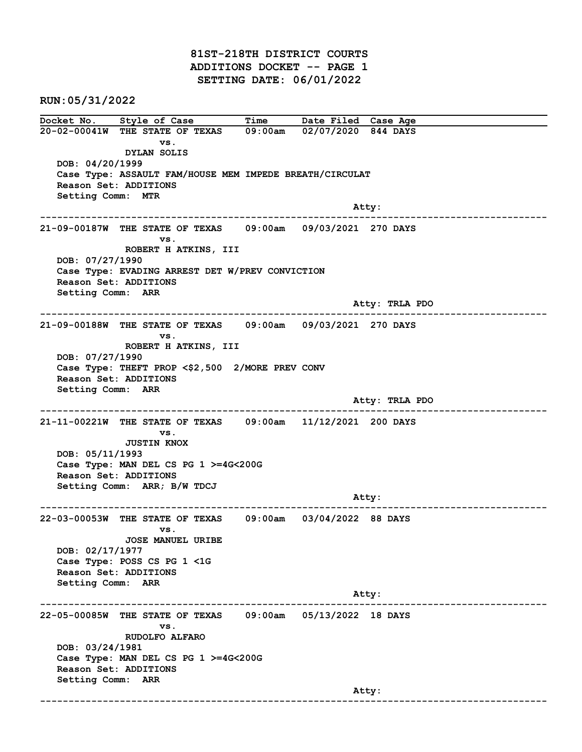81ST-218TH DISTRICT COURTS ADDITIONS DOCKET -- PAGE 1 SETTING DATE: 06/01/2022

RUN:05/31/2022

Docket No. Style of Case Time Date Filed Case Age 20-02-00041W THE STATE OF TEXAS 09:00am 02/07/2020 844 DAYS vs. DYLAN SOLIS DOB: 04/20/1999 Case Type: ASSAULT FAM/HOUSE MEM IMPEDE BREATH/CIRCULAT Reason Set: ADDITIONS Setting Comm: MTR example of the contract of the contract of the contract of the contract of the contract of the contract of the contract of the contract of the contract of the contract of the contract of the contract of the contract of the ------------------------------------------------------------------------------------------------------------------------ 21-09-00187W THE STATE OF TEXAS 09:00am 09/03/2021 270 DAYS vs. ROBERT H ATKINS, III DOB: 07/27/1990 Case Type: EVADING ARREST DET W/PREV CONVICTION Reason Set: ADDITIONS Setting Comm: ARR Atty: TRLA PDO ------------------------------------------------------------------------------------------------------------------------ 21-09-00188W THE STATE OF TEXAS 09:00am 09/03/2021 270 DAYS vs. ROBERT H ATKINS, III DOB: 07/27/1990 Case Type: THEFT PROP <\$2,500 2/MORE PREV CONV Reason Set: ADDITIONS Setting Comm: ARR Atty: TRLA PDO ------------------------------------------------------------------------------------------------------------------------ 21-11-00221W THE STATE OF TEXAS 09:00am 11/12/2021 200 DAYS vs. JUSTIN KNOX DOB: 05/11/1993 Case Type: MAN DEL CS PG 1 >=4G<200G Reason Set: ADDITIONS Setting Comm: ARR; B/W TDCJ Atty: ------------------------------------------------------------------------------------------------------------------------ 22-03-00053W THE STATE OF TEXAS 09:00am 03/04/2022 88 DAYS vs. JOSE MANUEL URIBE DOB: 02/17/1977 Case Type: POSS CS PG 1 <1G Reason Set: ADDITIONS Setting Comm: ARR example of the contract of the contract of the contract of the contract of the contract of the contract of the contract of the contract of the contract of the contract of the contract of the contract of the contract of the ------------------------------------------------------------------------------------------------------------------------ 22-05-00085W THE STATE OF TEXAS 09:00am 05/13/2022 18 DAYS vs. RUDOLFO ALFARO DOB: 03/24/1981 Case Type: MAN DEL CS PG 1 >=4G<200G Reason Set: ADDITIONS Setting Comm: ARR example of the contract of the contract of the contract of the contract of the contract of the contract of the contract of the contract of the contract of the contract of the contract of the contract of the contract of the ------------------------------------------------------------------------------------------------------------------------